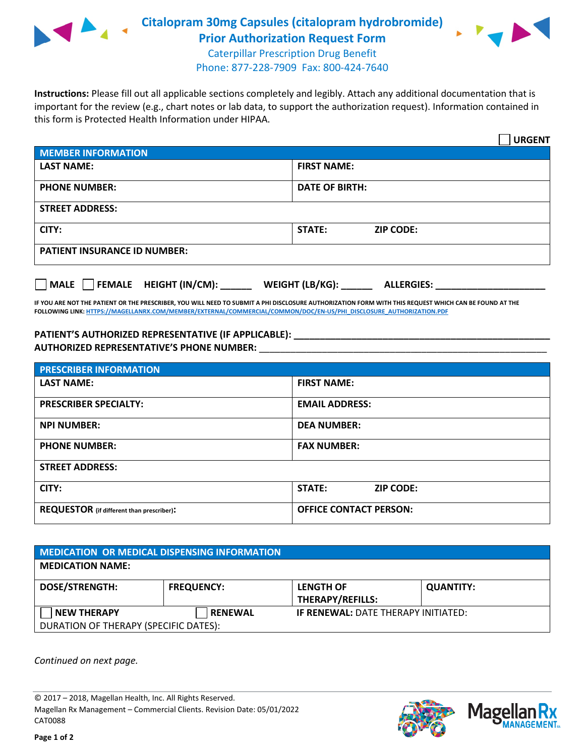

**Citalopram 30mg Capsules (citalopram hydrobromide) Prior Authorization Request Form**



Caterpillar Prescription Drug Benefit Phone: 877-228-7909 Fax: 800-424-7640

**Instructions:** Please fill out all applicable sections completely and legibly. Attach any additional documentation that is important for the review (e.g., chart notes or lab data, to support the authorization request). Information contained in this form is Protected Health Information under HIPAA.

|                                                | <b>URGENT</b>                        |  |  |  |
|------------------------------------------------|--------------------------------------|--|--|--|
| <b>MEMBER INFORMATION</b>                      |                                      |  |  |  |
| <b>LAST NAME:</b>                              | <b>FIRST NAME:</b>                   |  |  |  |
| <b>PHONE NUMBER:</b>                           | <b>DATE OF BIRTH:</b>                |  |  |  |
| <b>STREET ADDRESS:</b>                         |                                      |  |  |  |
| CITY:                                          | <b>ZIP CODE:</b><br>STATE:           |  |  |  |
| <b>PATIENT INSURANCE ID NUMBER:</b>            |                                      |  |  |  |
| FEMALE HEIGHT (IN/CM):<br>$\vert$ $\vert$ MALE | WEIGHT (LB/KG):<br><b>ALLERGIES:</b> |  |  |  |

**IF YOU ARE NOT THE PATIENT OR THE PRESCRIBER, YOU WILL NEED TO SUBMIT A PHI DISCLOSURE AUTHORIZATION FORM WITH THIS REQUEST WHICH CAN BE FOUND AT THE FOLLOWING LINK[: HTTPS://MAGELLANRX.COM/MEMBER/EXTERNAL/COMMERCIAL/COMMON/DOC/EN-US/PHI\\_DISCLOSURE\\_AUTHORIZATION.PDF](https://magellanrx.com/member/external/commercial/common/doc/en-us/PHI_Disclosure_Authorization.pdf)**

PATIENT'S AUTHORIZED REPRESENTATIVE (IF APPLICABLE): **\_\_\_\_\_\_\_\_\_\_\_\_\_\_\_ AUTHORIZED REPRESENTATIVE'S PHONE NUMBER:** \_\_\_\_\_\_\_\_\_\_\_\_\_\_\_\_\_\_\_\_\_\_\_\_\_\_\_\_\_\_\_\_\_\_\_\_\_\_\_\_\_\_\_\_\_\_\_\_\_\_\_\_\_\_\_

| <b>PRESCRIBER INFORMATION</b>             |                               |  |  |  |
|-------------------------------------------|-------------------------------|--|--|--|
| <b>LAST NAME:</b>                         | <b>FIRST NAME:</b>            |  |  |  |
| <b>PRESCRIBER SPECIALTY:</b>              | <b>EMAIL ADDRESS:</b>         |  |  |  |
| <b>NPI NUMBER:</b>                        | <b>DEA NUMBER:</b>            |  |  |  |
| <b>PHONE NUMBER:</b>                      | <b>FAX NUMBER:</b>            |  |  |  |
| <b>STREET ADDRESS:</b>                    |                               |  |  |  |
| CITY:                                     | STATE:<br><b>ZIP CODE:</b>    |  |  |  |
| REQUESTOR (if different than prescriber): | <b>OFFICE CONTACT PERSON:</b> |  |  |  |

| <b>MEDICATION OR MEDICAL DISPENSING INFORMATION</b> |                   |                                                                       |                  |  |  |
|-----------------------------------------------------|-------------------|-----------------------------------------------------------------------|------------------|--|--|
| <b>MEDICATION NAME:</b>                             |                   |                                                                       |                  |  |  |
| <b>DOSE/STRENGTH:</b>                               | <b>FREQUENCY:</b> | <b>LENGTH OF</b>                                                      | <b>QUANTITY:</b> |  |  |
| <b>NEW THERAPY</b>                                  | <b>RENEWAL</b>    | <b>THERAPY/REFILLS:</b><br><b>IF RENEWAL: DATE THERAPY INITIATED:</b> |                  |  |  |
| DURATION OF THERAPY (SPECIFIC DATES):               |                   |                                                                       |                  |  |  |

*Continued on next page.*

© 2017 – 2018, Magellan Health, Inc. All Rights Reserved. Magellan Rx Management – Commercial Clients. Revision Date: 05/01/2022 CAT0088